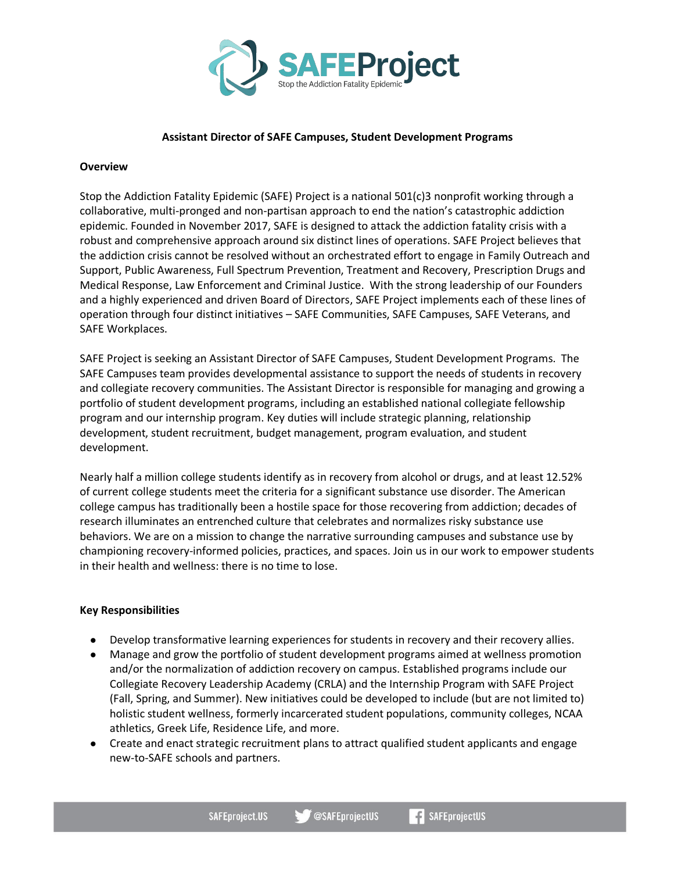

#### **Assistant Director of SAFE Campuses, Student Development Programs**

#### **Overview**

Stop the Addiction Fatality Epidemic (SAFE) Project is a national 501(c)3 nonprofit working through a collaborative, multi-pronged and non-partisan approach to end the nation's catastrophic addiction epidemic. Founded in November 2017, SAFE is designed to attack the addiction fatality crisis with a robust and comprehensive approach around six distinct lines of operations. SAFE Project believes that the addiction crisis cannot be resolved without an orchestrated effort to engage in Family Outreach and Support, Public Awareness, Full Spectrum Prevention, Treatment and Recovery, Prescription Drugs and Medical Response, Law Enforcement and Criminal Justice. With the strong leadership of our Founders and a highly experienced and driven Board of Directors, SAFE Project implements each of these lines of operation through four distinct initiatives – SAFE Communities, SAFE Campuses, SAFE Veterans, and SAFE Workplaces.

SAFE Project is seeking an Assistant Director of SAFE Campuses, Student Development Programs. The SAFE Campuses team provides developmental assistance to support the needs of students in recovery and collegiate recovery communities. The Assistant Director is responsible for managing and growing a portfolio of student development programs, including an established national collegiate fellowship program and our internship program. Key duties will include strategic planning, relationship development, student recruitment, budget management, program evaluation, and student development.

Nearly half a million college students identify as in recovery from alcohol or drugs, and at least 12.52% of current college students meet the criteria for a significant substance use disorder. The American college campus has traditionally been a hostile space for those recovering from addiction; decades of research illuminates an entrenched culture that celebrates and normalizes risky substance use behaviors. We are on a mission to change the narrative surrounding campuses and substance use by championing recovery-informed policies, practices, and spaces. Join us in our work to empower students in their health and wellness: there is no time to lose.

## **Key Responsibilities**

- Develop transformative learning experiences for students in recovery and their recovery allies.
- Manage and grow the portfolio of student development programs aimed at wellness promotion and/or the normalization of addiction recovery on campus. Established programs include our Collegiate Recovery Leadership Academy (CRLA) and the Internship Program with SAFE Project (Fall, Spring, and Summer). New initiatives could be developed to include (but are not limited to) holistic student wellness, formerly incarcerated student populations, community colleges, NCAA athletics, Greek Life, Residence Life, and more.
- Create and enact strategic recruitment plans to attract qualified student applicants and engage new-to-SAFE schools and partners.